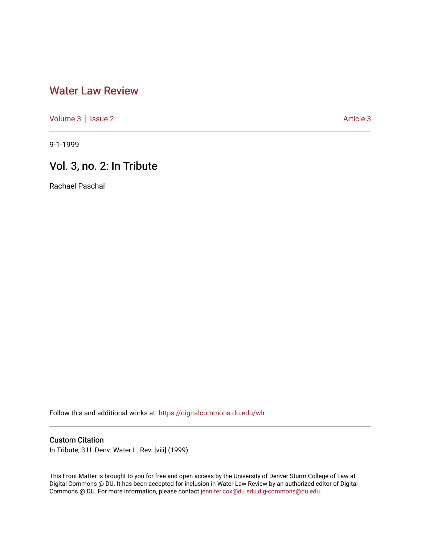# [Water Law Review](https://digitalcommons.du.edu/wlr)

[Volume 3](https://digitalcommons.du.edu/wlr/vol3) | [Issue 2](https://digitalcommons.du.edu/wlr/vol3/iss2) [Article 3](https://digitalcommons.du.edu/wlr/vol3/iss2/3) Article 3

9-1-1999

# Vol. 3, no. 2: In Tribute

Rachael Paschal

Follow this and additional works at: [https://digitalcommons.du.edu/wlr](https://digitalcommons.du.edu/wlr?utm_source=digitalcommons.du.edu%2Fwlr%2Fvol3%2Fiss2%2F3&utm_medium=PDF&utm_campaign=PDFCoverPages) 

## Custom Citation

In Tribute, 3 U. Denv. Water L. Rev. [viii] (1999).

This Front Matter is brought to you for free and open access by the University of Denver Sturm College of Law at Digital Commons @ DU. It has been accepted for inclusion in Water Law Review by an authorized editor of Digital Commons @ DU. For more information, please contact [jennifer.cox@du.edu,dig-commons@du.edu.](mailto:jennifer.cox@du.edu,dig-commons@du.edu)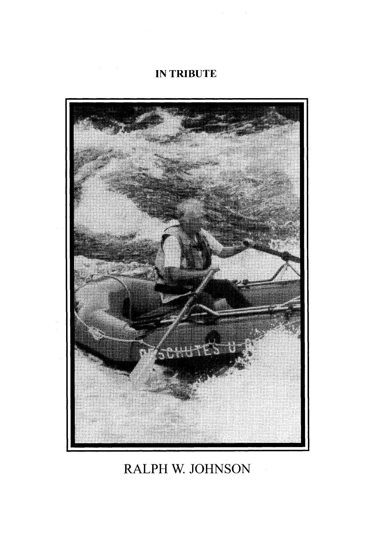# **IN** TRIBUTE



# RALPH W. JOHNSON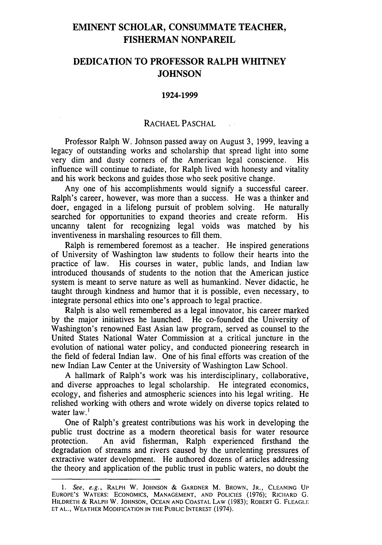## **EMINENT SCHOLAR, CONSUMMATE TEACHER, FISHERMAN NONPAREIL**

## **DEDICATION TO PROFESSOR RALPH WHITNEY JOHNSON**

#### **1924-1999**

### RACHAEL **PASCHAL**

Professor Ralph W. Johnson passed away on August **3, 1999,** leaving a legacy of outstanding works and scholarship that spread light into some very dim and dusty corners of the American legal conscience. His influence will continue to radiate, for Ralph lived with honesty and vitality and his work beckons and guides those who seek positive change.

Any one of his accomplishments would signify a successful career. Ralph's career, however, was more than a success. He was a thinker and doer, engaged in a lifelong pursuit of problem solving. He naturally searched for opportunities to expand theories and create reform. His uncanny talent for recognizing legal voids was matched by his inventiveness in marshaling resources to fill them.

Ralph is remembered foremost as a teacher. He inspired generations of University of Washington law students to follow their hearts into the practice of law. His courses in water, public lands, and Indian law introduced thousands of students to the notion that the American justice system is meant to serve nature as well as humankind. Never didactic, he taught through kindness and humor that it is possible, even necessary, to integrate personal ethics into one's approach to legal practice.

Ralph is also well remembered as a legal innovator, his career marked by the major initiatives he launched. He co-founded the University of Washington's renowned East Asian law program, served as counsel to the United States National Water Commission at a critical juncture in the evolution of national water policy, and conducted pioneering research in the field of federal Indian law. One of his final efforts was creation of the new Indian Law Center at the University of Washington Law School.

A hallmark of Ralph's work was his interdisciplinary, collaborative, and diverse approaches to legal scholarship. He integrated economics, ecology, and fisheries and atmospheric sciences into his legal writing. He relished working with others and wrote widely on diverse topics related to water law.<sup>1</sup>

One of Ralph's greatest contributions was his work in developing the public trust doctrine as a modern theoretical basis for water resource protection. An avid fisherman, Ralph experienced firsthand the degradation of streams and rivers caused by the unrelenting pressures of extractive water development. He authored dozens of articles addressing the theory and application of the public trust in public waters, no doubt the

*<sup>1.</sup>* See, e.g., RALPH W. **JOHNSON &** GARDNER M. BROWN, JR., **CLEANING UP EUROPE'S** WATERS: **ECONOMICS, MANAGEMENT, AND** POLICIES (1976); RICHARD G. HILDRETH & RALPH W. **JOHNSON, OCEAN AND COASTAL LAW** (1983); ROBERT G. **FLEAGLE ET AL.,** WEATHER **MODIFICATION IN THE PUBLIC** INTEREST (1974).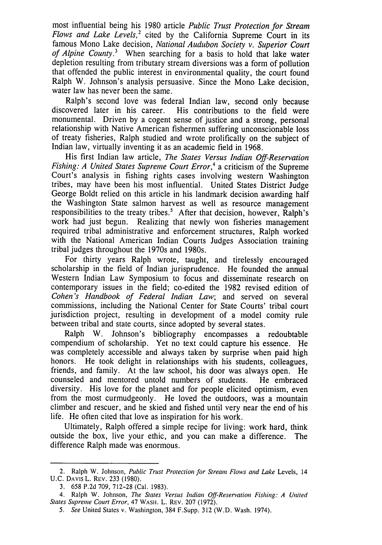most influential being his 1980 article *Public Trust Protection for Stream Flows and Lake Levels,2* cited by the California Supreme Court in its famous Mono Lake decision, *National Audubon Society v. Superior Court of Alpine County.3* When searching for a basis to hold that lake water depletion resulting from tributary stream diversions was a form of pollution that offended the public interest in environmental quality, the court found Ralph W. Johnson's analysis persuasive. Since the Mono Lake decision, water law has never been the same.

Ralph's second love was federal Indian law, second only because discovered later in his career. His contributions to the field were monumental. Driven by a cogent sense of justice and a strong, personal relationship with Native American fishermen suffering unconscionable loss of treaty fisheries, Ralph studied and wrote prolifically on the subject of Indian law, virtually inventing it as an academic field in 1968.

His first Indian law article, *The States Versus Indian Off-Reservation Fishing: A United States Supreme Court Error*,<sup>4</sup> a criticism of the Supreme Court's analysis in fishing rights cases involving western Washington tribes, may have been his most influential. United States District Judge George Boldt relied on this article in his landmark decision awarding half the Washington State salmon harvest as well as resource management responsibilities to the treaty tribes.<sup>5</sup> After that decision, however, Ralph's work had just begun. Realizing that newly won fisheries management required tribal administrative and enforcement structures, Ralph worked with the National American Indian Courts Judges Association training tribal judges throughout the 1970s and 1980s.

For thirty years Ralph wrote, taught, and tirelessly encouraged scholarship in the field of Indian jurisprudence. He founded the annual Western Indian Law Symposium to focus and disseminate research on contemporary issues in the field; co-edited the 1982 revised edition of *Cohen's Handbook of Federal Indian Law;* and served on several commissions, including the National Center for State Courts' tribal court jurisdiction project, resulting in development of a model comity rule between tribal and state courts, since adopted by several states.

Ralph W. Johnson's bibliography encompasses a redoubtable compendium of scholarship. Yet no text could capture his essence. He was completely accessible and always taken by surprise when paid high honors. He took delight in relationships with his students, colleagues, friends, and family. At the law school, his door was always open. He counseled and mentored untold numbers of students. He embraced diversity. His love for the planet and for people elicited optimism, even from the most curmudgeonly. He loved the outdoors, was a mountain climber and rescuer, and he skied and fished until very near the end of his life. He often cited that love as inspiration for his work.

Ultimately, Ralph offered a simple recipe for living: work hard, think outside the box, live your ethic, and you can make a difference. The difference Ralph made was enormous.

<sup>2.</sup> Ralph W. Johnson, *Public Trust Protection for Stream Flows and Lake* Levels, 14 U.C. DAvIs L. REV. 233 (1980).

<sup>3.</sup> 658 P.2d 709, 712-28 (Cal. 1983).

<sup>4.</sup> Ralph W. Johnson, *The States Versus Indian Off-Reservation Fishing: A United States Supreme Court Error,* 47 WAsI. L. REV. 207 (1972).

*<sup>5.</sup> See* United States v. Washington, 384 F.Supp. 312 (W.D. Wash. 1974).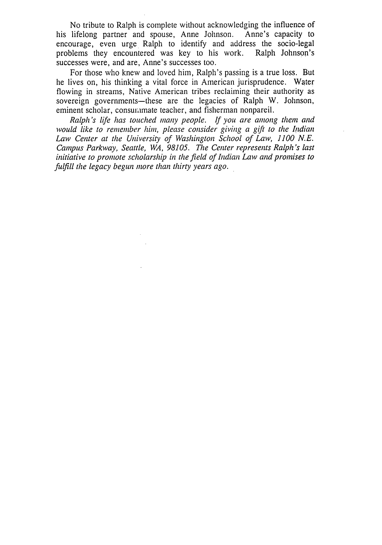No tribute to Ralph is complete without acknowledging the influence of lifelong partner and spouse. Anne Johnson. Anne's capacity to his lifelong partner and spouse, Anne Johnson. encourage, even urge Ralph to identify and address the socio-legal problems they encountered was key to his work. Ralph Johnson's successes were, and are, Anne's successes too.

For those who knew and loved him, Ralph's passing is a true loss. But he lives on, his thinking a vital force in American jurisprudence. Water flowing in streams, Native American tribes reclaiming their authority as sovereign governments—these are the legacies of Ralph W. Johnson, eminent scholar, consurimate teacher, and fisherman nonpareil.

*Ralph's life has touched many people. If you are among them and would like to remember hin, please consider giving a gift to the Indian Law Center at the University of Washington School of Law, 1100 N.E. Campus Parkway, Seattle, WA, 98105. The Center represents Ralph's last initiative to promote scholarship in the field of Indian Law and promises to fulfill the legacy begun more than thirty years ago.*